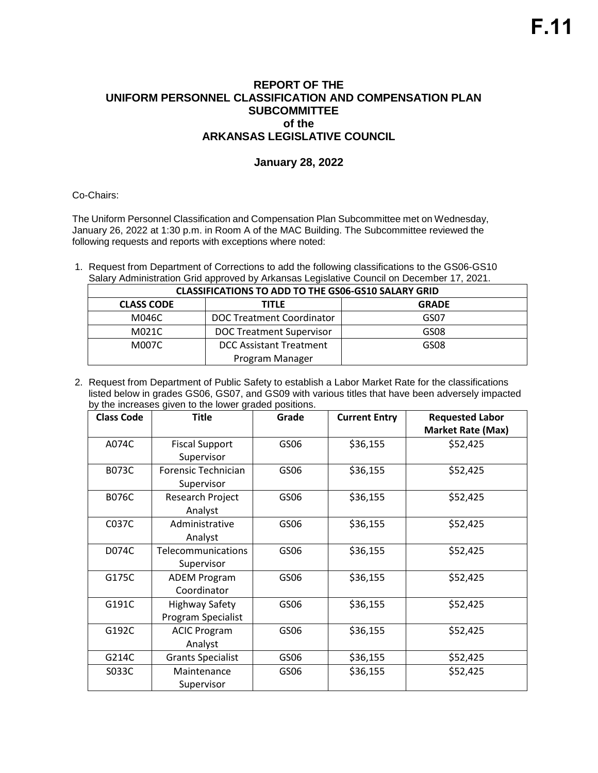## **REPORT OF THE UNIFORM PERSONNEL CLASSIFICATION AND COMPENSATION PLAN SUBCOMMITTEE of the ARKANSAS LEGISLATIVE COUNCIL**

## **January 28, 2022**

Co-Chairs:

The Uniform Personnel Classification and Compensation Plan Subcommittee met on Wednesday, January 26, 2022 at 1:30 p.m. in Room A of the MAC Building. The Subcommittee reviewed the following requests and reports with exceptions where noted:

1. Request from Department of Corrections to add the following classifications to the GS06-GS10 Salary Administration Grid approved by Arkansas Legislative Council on December 17, 2021.

| <b>CLASSIFICATIONS TO ADD TO THE GS06-GS10 SALARY GRID</b> |                                 |              |  |
|------------------------------------------------------------|---------------------------------|--------------|--|
| <b>CLASS CODE</b>                                          | <b>TITLE</b>                    | <b>GRADE</b> |  |
| M046C                                                      | DOC Treatment Coordinator       | GS07         |  |
| M021C                                                      | <b>DOC Treatment Supervisor</b> | GS08         |  |
| M007C                                                      | <b>DCC Assistant Treatment</b>  | GS08         |  |
| Program Manager                                            |                                 |              |  |

2. Request from Department of Public Safety to establish a Labor Market Rate for the classifications listed below in grades GS06, GS07, and GS09 with various titles that have been adversely impacted by the increases given to the lower graded positions.

| <b>Class Code</b> | <b>Title</b>             | Grade | <b>Current Entry</b> | <b>Requested Labor</b>   |
|-------------------|--------------------------|-------|----------------------|--------------------------|
|                   |                          |       |                      | <b>Market Rate (Max)</b> |
| A074C             | <b>Fiscal Support</b>    | GS06  | \$36,155             | \$52,425                 |
|                   | Supervisor               |       |                      |                          |
| B073C             | Forensic Technician      | GS06  | \$36,155             | \$52,425                 |
|                   | Supervisor               |       |                      |                          |
| <b>B076C</b>      | Research Project         | GS06  | \$36,155             | \$52,425                 |
|                   | Analyst                  |       |                      |                          |
| C037C             | Administrative           | GS06  | \$36,155             | \$52,425                 |
|                   | Analyst                  |       |                      |                          |
| D074C             | Telecommunications       | GS06  | \$36,155             | \$52,425                 |
|                   | Supervisor               |       |                      |                          |
| G175C             | <b>ADEM Program</b>      | GS06  | \$36,155             | \$52,425                 |
|                   | Coordinator              |       |                      |                          |
| G191C             | <b>Highway Safety</b>    | GS06  | \$36,155             | \$52,425                 |
|                   | Program Specialist       |       |                      |                          |
| G192C             | <b>ACIC Program</b>      | GS06  | \$36,155             | \$52,425                 |
|                   | Analyst                  |       |                      |                          |
| G214C             | <b>Grants Specialist</b> | GS06  | \$36,155             | \$52,425                 |
| S033C             | Maintenance              | GS06  | \$36,155             | \$52,425                 |
|                   | Supervisor               |       |                      |                          |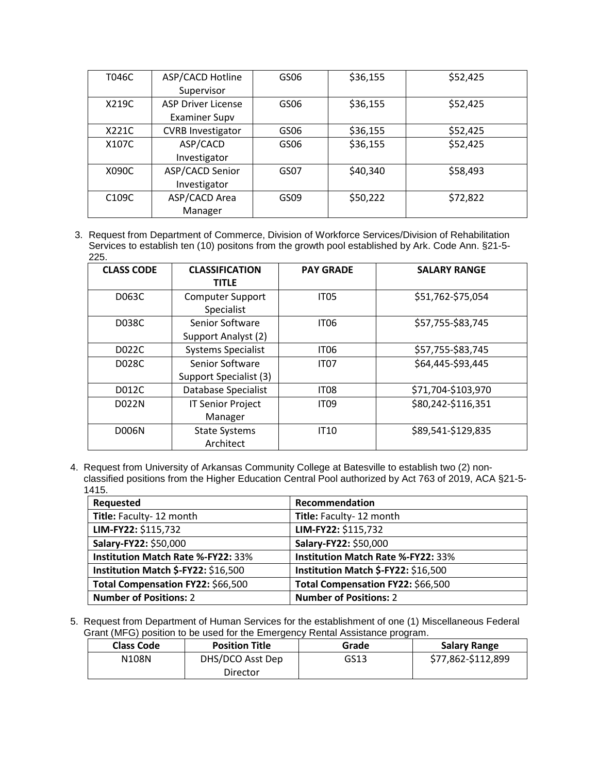| T046C              | ASP/CACD Hotline          | GS06 | \$36,155 | \$52,425 |
|--------------------|---------------------------|------|----------|----------|
|                    | Supervisor                |      |          |          |
| X219C              | <b>ASP Driver License</b> | GS06 | \$36,155 | \$52,425 |
|                    | <b>Examiner Supv</b>      |      |          |          |
| X221C              | <b>CVRB Investigator</b>  | GS06 | \$36,155 | \$52,425 |
| X107C              | ASP/CACD                  | GS06 | \$36,155 | \$52,425 |
|                    | Investigator              |      |          |          |
| X090C              | ASP/CACD Senior           | GS07 | \$40,340 | \$58,493 |
|                    | Investigator              |      |          |          |
| C <sub>109</sub> C | ASP/CACD Area             | GS09 | \$50,222 | \$72,822 |
|                    | Manager                   |      |          |          |

3. Request from Department of Commerce, Division of Workforce Services/Division of Rehabilitation Services to establish ten (10) positons from the growth pool established by Ark. Code Ann. §21-5- 225.

| <b>CLASS CODE</b> | <b>CLASSIFICATION</b><br><b>TITLE</b>     | <b>PAY GRADE</b> | <b>SALARY RANGE</b> |
|-------------------|-------------------------------------------|------------------|---------------------|
| D063C             | <b>Computer Support</b><br>Specialist     | <b>IT05</b>      | \$51,762-\$75,054   |
| D038C             | Senior Software<br>Support Analyst (2)    | <b>IT06</b>      | \$57,755-\$83,745   |
| D022C             | <b>Systems Specialist</b>                 | <b>IT06</b>      | \$57,755-\$83,745   |
| D028C             | Senior Software<br>Support Specialist (3) | <b>IT07</b>      | \$64,445-\$93,445   |
| D012C             | Database Specialist                       | IT <sub>08</sub> | \$71,704-\$103,970  |
| D022N             | <b>IT Senior Project</b><br>Manager       | <b>IT09</b>      | \$80,242-\$116,351  |
| <b>D006N</b>      | <b>State Systems</b><br>Architect         | <b>IT10</b>      | \$89,541-\$129,835  |

4. Request from University of Arkansas Community College at Batesville to establish two (2) non classified positions from the Higher Education Central Pool authorized by Act 763 of 2019, ACA §21-5- 1415.

| Requested                                 | Recommendation                            |
|-------------------------------------------|-------------------------------------------|
| Title: Faculty- 12 month                  | Title: Faculty- 12 month                  |
| LIM-FY22: \$115,732                       | LIM-FY22: \$115,732                       |
| Salary-FY22: \$50,000                     | Salary-FY22: \$50,000                     |
| <b>Institution Match Rate %-FY22: 33%</b> | <b>Institution Match Rate %-FY22: 33%</b> |
| Institution Match \$-FY22: \$16,500       | Institution Match \$-FY22: \$16,500       |
| Total Compensation FY22: \$66,500         | Total Compensation FY22: \$66,500         |
| <b>Number of Positions: 2</b>             | <b>Number of Positions: 2</b>             |

5. Request from Department of Human Services for the establishment of one (1) Miscellaneous Federal Grant (MFG) position to be used for the Emergency Rental Assistance program.

| <b>Class Code</b> | <b>Position Title</b> | Grade | <b>Salary Range</b> |
|-------------------|-----------------------|-------|---------------------|
| N108N             | DHS/DCO Asst Dep      | GS13  | \$77,862-\$112,899  |
|                   | Director              |       |                     |